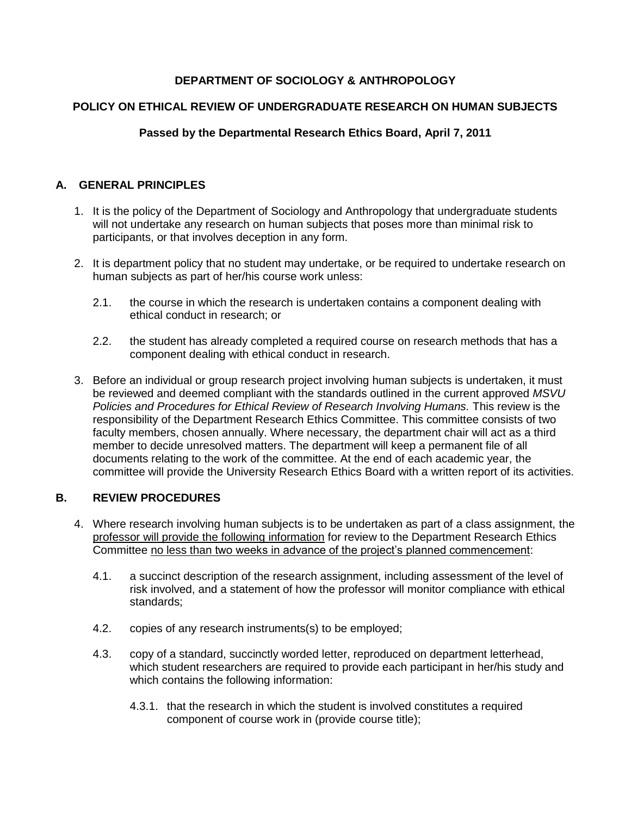# **DEPARTMENT OF SOCIOLOGY & ANTHROPOLOGY**

## **POLICY ON ETHICAL REVIEW OF UNDERGRADUATE RESEARCH ON HUMAN SUBJECTS**

## **Passed by the Departmental Research Ethics Board, April 7, 2011**

#### **A. GENERAL PRINCIPLES**

- 1. It is the policy of the Department of Sociology and Anthropology that undergraduate students will not undertake any research on human subjects that poses more than minimal risk to participants, or that involves deception in any form.
- 2. It is department policy that no student may undertake, or be required to undertake research on human subjects as part of her/his course work unless:
	- 2.1. the course in which the research is undertaken contains a component dealing with ethical conduct in research; or
	- 2.2. the student has already completed a required course on research methods that has a component dealing with ethical conduct in research.
- 3. Before an individual or group research project involving human subjects is undertaken, it must be reviewed and deemed compliant with the standards outlined in the current approved *MSVU Policies and Procedures for Ethical Review of Research Involving Humans.* This review is the responsibility of the Department Research Ethics Committee. This committee consists of two faculty members, chosen annually. Where necessary, the department chair will act as a third member to decide unresolved matters. The department will keep a permanent file of all documents relating to the work of the committee. At the end of each academic year, the committee will provide the University Research Ethics Board with a written report of its activities.

#### **B. REVIEW PROCEDURES**

- 4. Where research involving human subjects is to be undertaken as part of a class assignment, the professor will provide the following information for review to the Department Research Ethics Committee no less than two weeks in advance of the project's planned commencement:
	- 4.1. a succinct description of the research assignment, including assessment of the level of risk involved, and a statement of how the professor will monitor compliance with ethical standards;
	- 4.2. copies of any research instruments(s) to be employed;
	- 4.3. copy of a standard, succinctly worded letter, reproduced on department letterhead, which student researchers are required to provide each participant in her/his study and which contains the following information:
		- 4.3.1. that the research in which the student is involved constitutes a required component of course work in (provide course title);